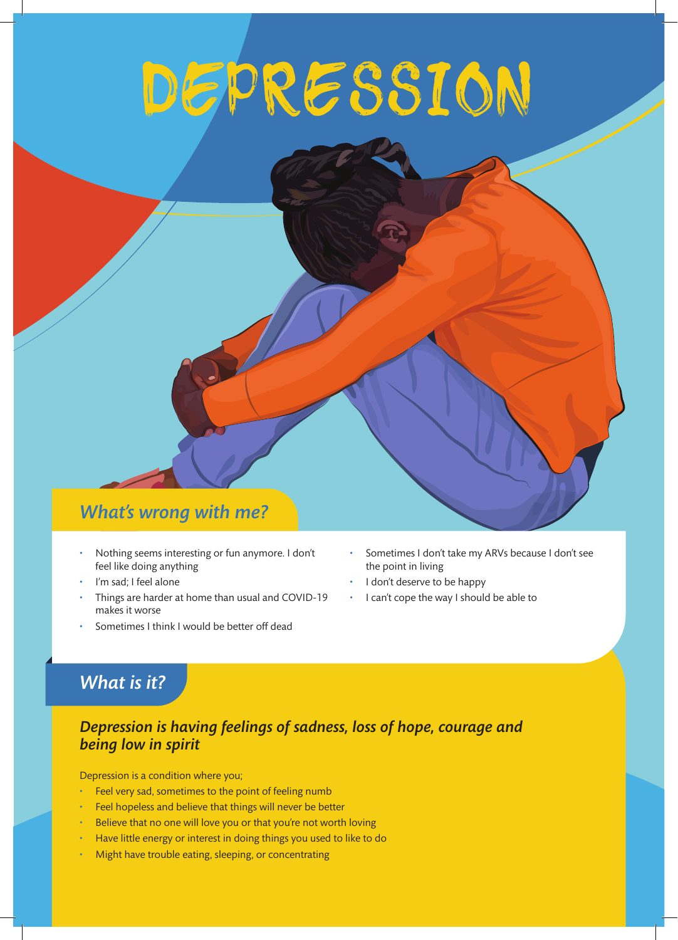# DEPRESSION

## *What's wrong with me?*

- Nothing seems interesting or fun anymore. I don't feel like doing anything
- I'm sad; I feel alone
- Things are harder at home than usual and COVID-19 makes it worse
- Sometimes I think I would be better off dead
- Sometimes I don't take my ARVs because I don't see the point in living
- I don't deserve to be happy
- I can't cope the way I should be able to

# *What is it?*

#### *Depression is having feelings of sadness, loss of hope, courage and being low in spirit*

Depression is a condition where you;

- Feel very sad, sometimes to the point of feeling numb
- Feel hopeless and believe that things will never be better
- Believe that no one will love you or that you're not worth loving
- Have little energy or interest in doing things you used to like to do
- Might have trouble eating, sleeping, or concentrating